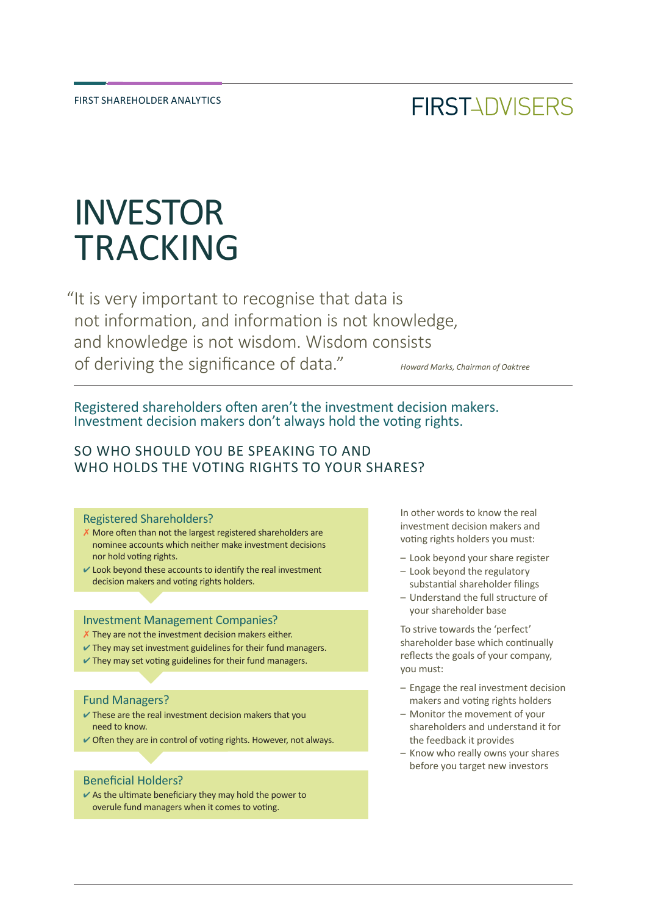## **FIRSTADVISERS**

# INVESTOR TRACKING

"It is very important to recognise that data is not information, and information is not knowledge, and knowledge is not wisdom. Wisdom consists of deriving the significance of data." *Howard Marks, Chairman of Oaktree*

Registered shareholders often aren't the investment decision makers. Investment decision makers don't always hold the voting rights.

#### SO WHO SHOULD YOU BE SPEAKING TO AND WHO HOLDS THE VOTING RIGHTS TO YOUR SHARES?

#### Registered Shareholders?

- $X$  More often than not the largest registered shareholders are nominee accounts which neither make investment decisions nor hold voting rights.
- $\vee$  Look beyond these accounts to identify the real investment decision makers and voting rights holders.

#### Investment Management Companies?

- X They are not the investment decision makers either.
- $\vee$  They may set investment guidelines for their fund managers.
- $\vee$  They may set voting guidelines for their fund managers.

#### Fund Managers?

- $\checkmark$  These are the real investment decision makers that you need to know.
- $\vee$  Often they are in control of voting rights. However, not always.

#### Beneficial Holders?

 $\vee$  As the ultimate beneficiary they may hold the power to overule fund managers when it comes to voting.

In other words to know the real investment decision makers and voting rights holders you must:

- Look beyond your share register
- Look beyond the regulatory substantial shareholder filings
- Understand the full structure of your shareholder base

To strive towards the 'perfect' shareholder base which continually reflects the goals of your company, you must:

- Engage the real investment decision makers and voting rights holders
- Monitor the movement of your shareholders and understand it for the feedback it provides
- Know who really owns your shares before you target new investors